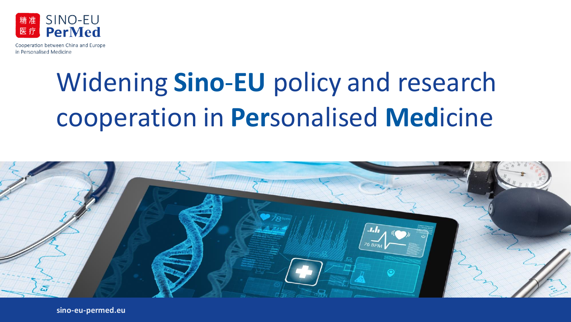

# Widening **Sino**‐**EU** policy and research cooperation in **Per**sonalised **Med**icine



**sino-eu-permed.eu**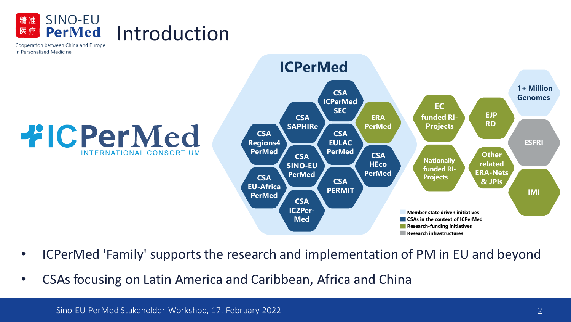



- ICPerMed 'Family' supports the research and implementation of PM in EU and beyond
- CSAs focusing on Latin America and Caribbean, Africa and China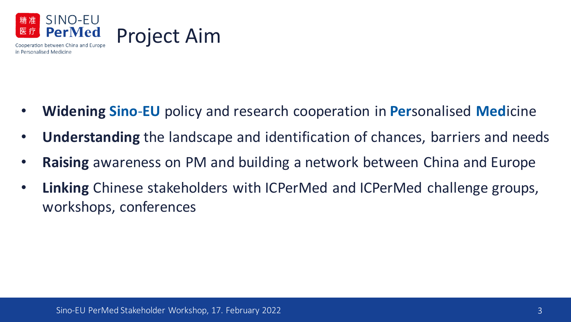

- **Widening Sino**‐**EU** policy and research cooperation in **Per**sonalised **Med**icine
- **Understanding** the landscape and identification of chances, barriers and needs
- **Raising** awareness on PM and building a network between China and Europe
- **Linking** Chinese stakeholders with ICPerMed and ICPerMed challenge groups, workshops, conferences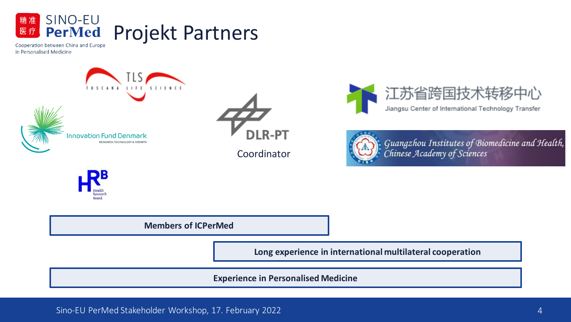





Coordinator





Guangzhou Institutes of Biomedicine and Health,<br>Chinese Academy of Sciences



**Members of ICPerMed**

**Long experience in international multilateral cooperation**

**Experience in Personalised Medicine**

Sino-EU PerMed Stakeholder Workshop, 17. February 2022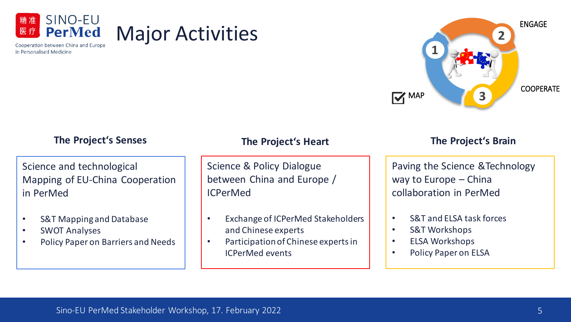



### **The Project's Senses The Project's Heart The Project's Brain**

### Science and technological Mapping of EU-China Cooperation in PerMed

- S&T Mapping and Database
- SWOT Analyses
- Policy Paper on Barriers and Needs

Science & Policy Dialogue between China and Europe / ICPerMed

- Exchange of ICPerMed Stakeholders and Chinese experts
- Participation of Chinese experts in ICPerMed events

### **1**<br>**The Duploate But The map 3**

scientific papers, Paving the Science &Technology relations (with the second functions) way to Europe – China collaboration in PerMed

- S&T and ELSA task forces
- S&T Workshops
- ELSA Workshops
- Policy Paper on ELSA

Major Activities

 $t$  throughout the projection  $\mathcal{L}$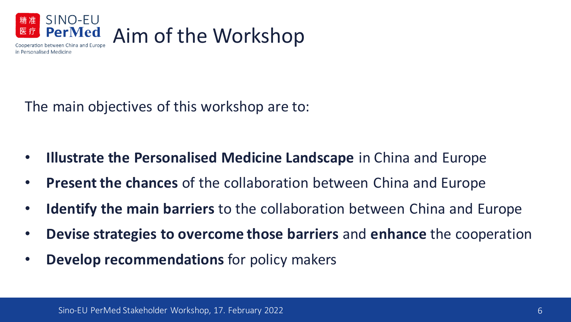

The main objectives of this workshop are to:

- **Illustrate the Personalised Medicine Landscape** in China and Europe
- **Present the chances** of the collaboration between China and Europe
- **Identify the main barriers** to the collaboration between China and Europe
- **Devise strategies to overcome those barriers** and **enhance** the cooperation
- **Develop recommendations** for policy makers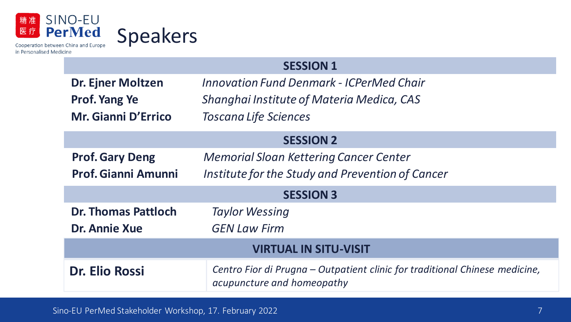

### **SESSION 1**

| <b>Dr. Ejner Moltzen</b><br>Prof. Yang Ye<br>Mr. Gianni D'Errico | <b>Innovation Fund Denmark - ICPerMed Chair</b><br>Shanghai Institute of Materia Medica, CAS<br><b>Toscana Life Sciences</b> |
|------------------------------------------------------------------|------------------------------------------------------------------------------------------------------------------------------|
| <b>SESSION 2</b>                                                 |                                                                                                                              |
| <b>Prof. Gary Deng</b><br><b>Prof. Gianni Amunni</b>             | <b>Memorial Sloan Kettering Cancer Center</b><br>Institute for the Study and Prevention of Cancer                            |
| <b>SESSION 3</b>                                                 |                                                                                                                              |
| <b>Dr. Thomas Pattloch</b><br><b>Dr. Annie Xue</b>               | <b>Taylor Wessing</b><br><b>GEN Law Firm</b>                                                                                 |
| <b>VIRTUAL IN SITU-VISIT</b>                                     |                                                                                                                              |
| Dr. Elio Rossi                                                   | Centro Fior di Prugna – Outpatient clinic for traditional Chinese medicine,<br>acupuncture and homeopathy                    |